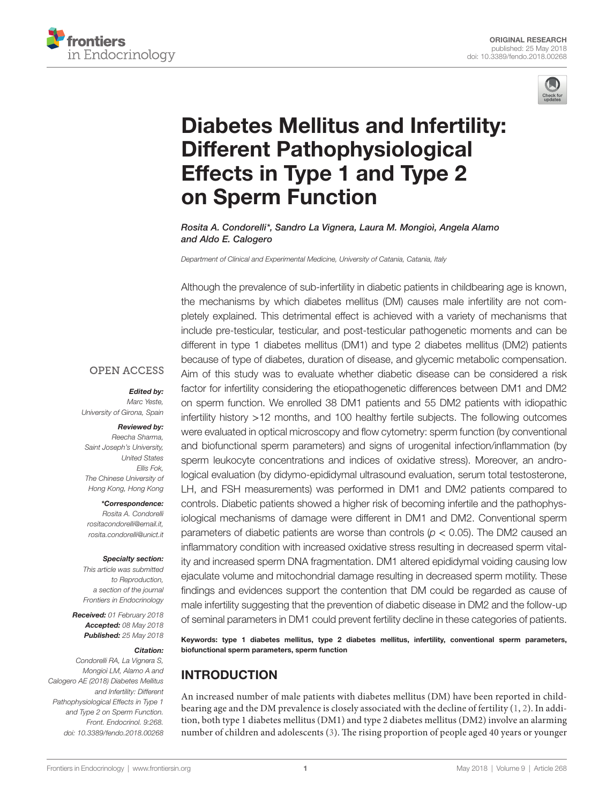



# [Diabetes Mellitus and Infertility:](https://www.frontiersin.org/Journal/10.3389/fendo.2018.00268/full)  [Different Pathophysiological](https://www.frontiersin.org/Journal/10.3389/fendo.2018.00268/full)  [Effects in Type 1 and Type 2](https://www.frontiersin.org/Journal/10.3389/fendo.2018.00268/full)  [on Sperm Function](https://www.frontiersin.org/Journal/10.3389/fendo.2018.00268/full)

*[Rosita A. Condorelli](https://loop.frontiersin.org/people/360158)\*, [Sandro La Vignera,](https://loop.frontiersin.org/people/360159) [Laura M. Mongioì](https://loop.frontiersin.org/people/360162), [Angela Alamo](https://loop.frontiersin.org/people/536945)  and [Aldo E. Calogero](https://loop.frontiersin.org/people/360161)*

*Department of Clinical and Experimental Medicine, University of Catania, Catania, Italy*

Although the prevalence of sub-infertility in diabetic patients in childbearing age is known, the mechanisms by which diabetes mellitus (DM) causes male infertility are not completely explained. This detrimental effect is achieved with a variety of mechanisms that include pre-testicular, testicular, and post-testicular pathogenetic moments and can be different in type 1 diabetes mellitus (DM1) and type 2 diabetes mellitus (DM2) patients because of type of diabetes, duration of disease, and glycemic metabolic compensation. Aim of this study was to evaluate whether diabetic disease can be considered a risk factor for infertility considering the etiopathogenetic differences between DM1 and DM2 on sperm function. We enrolled 38 DM1 patients and 55 DM2 patients with idiopathic infertility history >12 months, and 100 healthy fertile subjects. The following outcomes were evaluated in optical microscopy and flow cytometry: sperm function (by conventional and biofunctional sperm parameters) and signs of urogenital infection/inflammation (by sperm leukocyte concentrations and indices of oxidative stress). Moreover, an andrological evaluation (by didymo-epididymal ultrasound evaluation, serum total testosterone, LH, and FSH measurements) was performed in DM1 and DM2 patients compared to controls. Diabetic patients showed a higher risk of becoming infertile and the pathophysiological mechanisms of damage were different in DM1 and DM2. Conventional sperm parameters of diabetic patients are worse than controls (*p* < 0.05). The DM2 caused an inflammatory condition with increased oxidative stress resulting in decreased sperm vitality and increased sperm DNA fragmentation. DM1 altered epididymal voiding causing low ejaculate volume and mitochondrial damage resulting in decreased sperm motility. These findings and evidences support the contention that DM could be regarded as cause of male infertility suggesting that the prevention of diabetic disease in DM2 and the follow-up of seminal parameters in DM1 could prevent fertility decline in these categories of patients.

Keywords: type 1 diabetes mellitus, type 2 diabetes mellitus, infertility, conventional sperm parameters, biofunctional sperm parameters, sperm function

# INTRODUCTION

An increased number of male patients with diabetes mellitus (DM) have been reported in childbearing age and the DM prevalence is closely associated with the decline of fertility ([1,](#page-7-0) [2\)](#page-7-1). In addition, both type 1 diabetes mellitus (DM1) and type 2 diabetes mellitus (DM2) involve an alarming number of children and adolescents [\(3\)](#page-7-2). The rising proportion of people aged 40 years or younger

#### **OPEN ACCESS**

#### *Edited by:*

*Marc Yeste, University of Girona, Spain*

#### *Reviewed by: Reecha Sharma,*

*Saint Joseph's University, United States Ellis Fok, The Chinese University of Hong Kong, Hong Kong*

#### *\*Correspondence:*

*Rosita A. Condorelli [rositacondorelli@email.it,](mailto:rositacondorelli@email.it) [rosita.condorelli@unict.it](mailto:rosita.condorelli@unict.it)*

#### *Specialty section:*

*This article was submitted to Reproduction, a section of the journal Frontiers in Endocrinology*

*Received: 01 February 2018 Accepted: 08 May 2018 Published: 25 May 2018*

#### *Citation:*

*Condorelli RA, La Vignera S, Mongioì LM, Alamo A and Calogero AE (2018) Diabetes Mellitus and Infertility: Different Pathophysiological Effects in Type 1 and Type 2 on Sperm Function. Front. Endocrinol. 9:268. doi: [10.3389/fendo.2018.00268](https://doi.org/10.3389/fendo.2018.00268)*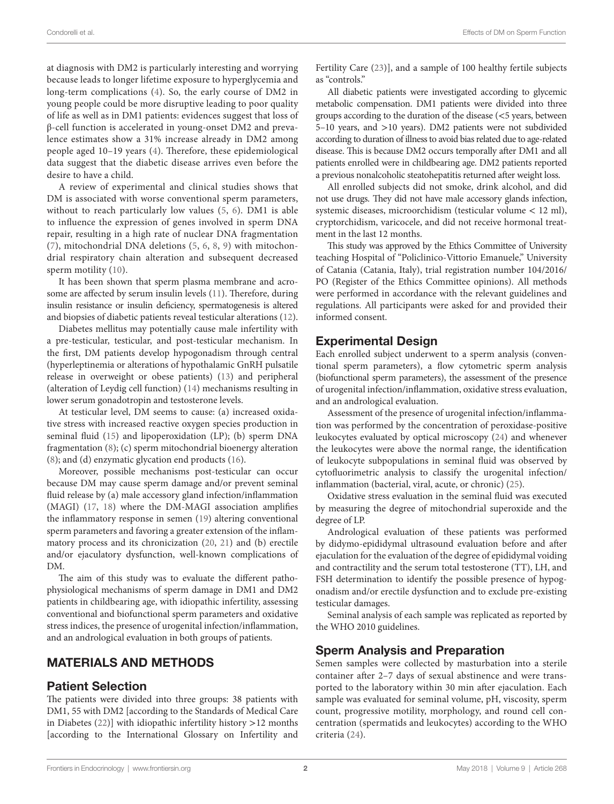at diagnosis with DM2 is particularly interesting and worrying because leads to longer lifetime exposure to hyperglycemia and long-term complications ([4](#page-7-3)). So, the early course of DM2 in young people could be more disruptive leading to poor quality of life as well as in DM1 patients: evidences suggest that loss of β-cell function is accelerated in young-onset DM2 and prevalence estimates show a 31% increase already in DM2 among people aged 10–19 years ([4\)](#page-7-3). Therefore, these epidemiological data suggest that the diabetic disease arrives even before the desire to have a child.

A review of experimental and clinical studies shows that DM is associated with worse conventional sperm parameters, without to reach particularly low values ([5](#page-7-4), [6](#page-7-5)). DM1 is able to influence the expression of genes involved in sperm DNA repair, resulting in a high rate of nuclear DNA fragmentation ([7](#page-8-0)), mitochondrial DNA deletions ([5](#page-7-4), [6](#page-7-5), [8](#page-8-1), [9](#page-8-2)) with mitochondrial respiratory chain alteration and subsequent decreased sperm motility ([10](#page-8-3)).

It has been shown that sperm plasma membrane and acrosome are affected by serum insulin levels ([11\)](#page-8-4). Therefore, during insulin resistance or insulin deficiency, spermatogenesis is altered and biopsies of diabetic patients reveal testicular alterations ([12\)](#page-8-5).

Diabetes mellitus may potentially cause male infertility with a pre-testicular, testicular, and post-testicular mechanism. In the first, DM patients develop hypogonadism through central (hyperleptinemia or alterations of hypothalamic GnRH pulsatile release in overweight or obese patients) [\(13](#page-8-6)) and peripheral (alteration of Leydig cell function) ([14\)](#page-8-7) mechanisms resulting in lower serum gonadotropin and testosterone levels.

At testicular level, DM seems to cause: (a) increased oxidative stress with increased reactive oxygen species production in seminal fluid [\(15](#page-8-8)) and lipoperoxidation (LP); (b) sperm DNA fragmentation ([8\)](#page-8-1); (c) sperm mitochondrial bioenergy alteration ([8](#page-8-1)); and (d) enzymatic glycation end products [\(16](#page-8-9)).

Moreover, possible mechanisms post-testicular can occur because DM may cause sperm damage and/or prevent seminal fluid release by (a) male accessory gland infection/inflammation (MAGI) [\(17,](#page-8-10) [18](#page-8-11)) where the DM-MAGI association amplifies the inflammatory response in semen ([19\)](#page-8-12) altering conventional sperm parameters and favoring a greater extension of the inflammatory process and its chronicization ([20,](#page-8-13) [21\)](#page-8-14) and (b) erectile and/or ejaculatory dysfunction, well-known complications of DM.

The aim of this study was to evaluate the different pathophysiological mechanisms of sperm damage in DM1 and DM2 patients in childbearing age, with idiopathic infertility, assessing conventional and biofunctional sperm parameters and oxidative stress indices, the presence of urogenital infection/inflammation, and an andrological evaluation in both groups of patients.

## MATERIALS AND METHODS

## Patient Selection

The patients were divided into three groups: 38 patients with DM1, 55 with DM2 [according to the Standards of Medical Care in Diabetes  $(22)$  $(22)$ ] with idiopathic infertility history >12 months [according to the International Glossary on Infertility and Fertility Care [\(23](#page-8-16))], and a sample of 100 healthy fertile subjects as "controls."

All diabetic patients were investigated according to glycemic metabolic compensation. DM1 patients were divided into three groups according to the duration of the disease (<5 years, between 5–10 years, and >10 years). DM2 patients were not subdivided according to duration of illness to avoid bias related due to age-related disease. This is because DM2 occurs temporally after DM1 and all patients enrolled were in childbearing age. DM2 patients reported a previous nonalcoholic steatohepatitis returned after weight loss.

All enrolled subjects did not smoke, drink alcohol, and did not use drugs. They did not have male accessory glands infection, systemic diseases, microorchidism (testicular volume < 12 ml), cryptorchidism, varicocele, and did not receive hormonal treatment in the last 12 months.

This study was approved by the Ethics Committee of University teaching Hospital of "Policlinico-Vittorio Emanuele," University of Catania (Catania, Italy), trial registration number 104/2016/ PO (Register of the Ethics Committee opinions). All methods were performed in accordance with the relevant guidelines and regulations. All participants were asked for and provided their informed consent.

## Experimental Design

Each enrolled subject underwent to a sperm analysis (conventional sperm parameters), a flow cytometric sperm analysis (biofunctional sperm parameters), the assessment of the presence of urogenital infection/inflammation, oxidative stress evaluation, and an andrological evaluation.

Assessment of the presence of urogenital infection/inflammation was performed by the concentration of peroxidase-positive leukocytes evaluated by optical microscopy [\(24](#page-8-17)) and whenever the leukocytes were above the normal range, the identification of leukocyte subpopulations in seminal fluid was observed by cytofluorimetric analysis to classify the urogenital infection/ inflammation (bacterial, viral, acute, or chronic) [\(25](#page-8-18)).

Oxidative stress evaluation in the seminal fluid was executed by measuring the degree of mitochondrial superoxide and the degree of LP.

Andrological evaluation of these patients was performed by didymo-epididymal ultrasound evaluation before and after ejaculation for the evaluation of the degree of epididymal voiding and contractility and the serum total testosterone (TT), LH, and FSH determination to identify the possible presence of hypogonadism and/or erectile dysfunction and to exclude pre-existing testicular damages.

Seminal analysis of each sample was replicated as reported by the WHO 2010 guidelines.

## Sperm Analysis and Preparation

Semen samples were collected by masturbation into a sterile container after 2–7 days of sexual abstinence and were transported to the laboratory within 30 min after ejaculation. Each sample was evaluated for seminal volume, pH, viscosity, sperm count, progressive motility, morphology, and round cell concentration (spermatids and leukocytes) according to the WHO criteria ([24](#page-8-17)).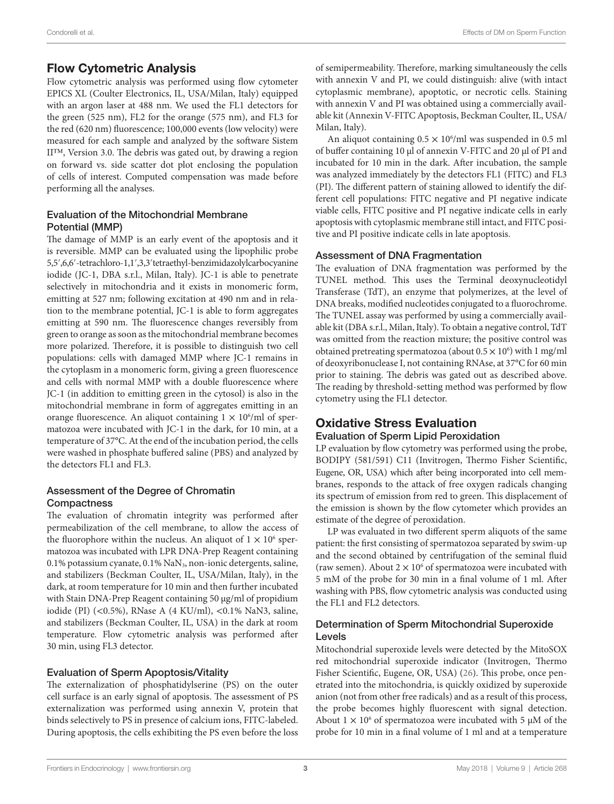## Flow Cytometric Analysis

Flow cytometric analysis was performed using flow cytometer EPICS XL (Coulter Electronics, IL, USA/Milan, Italy) equipped with an argon laser at 488 nm. We used the FL1 detectors for the green (525 nm), FL2 for the orange (575 nm), and FL3 for the red (620 nm) fluorescence; 100,000 events (low velocity) were measured for each sample and analyzed by the software Sistem II™, Version 3.0. The debris was gated out, by drawing a region on forward vs. side scatter dot plot enclosing the population of cells of interest. Computed compensation was made before performing all the analyses.

#### Evaluation of the Mitochondrial Membrane Potential (MMP)

The damage of MMP is an early event of the apoptosis and it is reversible. MMP can be evaluated using the lipophilic probe 5,5′,6,6′-tetrachloro-1,1′,3,3′tetraethyl-benzimidazolylcarbocyanine iodide (JC-1, DBA s.r.l., Milan, Italy). JC-1 is able to penetrate selectively in mitochondria and it exists in monomeric form, emitting at 527 nm; following excitation at 490 nm and in relation to the membrane potential, JC-1 is able to form aggregates emitting at 590 nm. The fluorescence changes reversibly from green to orange as soon as the mitochondrial membrane becomes more polarized. Therefore, it is possible to distinguish two cell populations: cells with damaged MMP where JC-1 remains in the cytoplasm in a monomeric form, giving a green fluorescence and cells with normal MMP with a double fluorescence where JC-1 (in addition to emitting green in the cytosol) is also in the mitochondrial membrane in form of aggregates emitting in an orange fluorescence. An aliquot containing  $1 \times 10^6$ /ml of spermatozoa were incubated with JC-1 in the dark, for 10 min, at a temperature of 37°C. At the end of the incubation period, the cells were washed in phosphate buffered saline (PBS) and analyzed by the detectors FL1 and FL3.

#### Assessment of the Degree of Chromatin **Compactness**

The evaluation of chromatin integrity was performed after permeabilization of the cell membrane, to allow the access of the fluorophore within the nucleus. An aliquot of  $1 \times 10^6$  spermatozoa was incubated with LPR DNA-Prep Reagent containing 0.1% potassium cyanate, 0.1% NaN<sub>3</sub>, non-ionic detergents, saline, and stabilizers (Beckman Coulter, IL, USA/Milan, Italy), in the dark, at room temperature for 10 min and then further incubated with Stain DNA-Prep Reagent containing 50 µg/ml of propidium iodide (PI) (<0.5%), RNase A (4 KU/ml), <0.1% NaN3, saline, and stabilizers (Beckman Coulter, IL, USA) in the dark at room temperature. Flow cytometric analysis was performed after 30 min, using FL3 detector.

#### Evaluation of Sperm Apoptosis/Vitality

The externalization of phosphatidylserine (PS) on the outer cell surface is an early signal of apoptosis. The assessment of PS externalization was performed using annexin V, protein that binds selectively to PS in presence of calcium ions, FITC-labeled. During apoptosis, the cells exhibiting the PS even before the loss

of semipermeability. Therefore, marking simultaneously the cells with annexin V and PI, we could distinguish: alive (with intact cytoplasmic membrane), apoptotic, or necrotic cells. Staining with annexin V and PI was obtained using a commercially available kit (Annexin V-FITC Apoptosis, Beckman Coulter, IL, USA/ Milan, Italy).

An aliquot containing  $0.5 \times 10^6$ /ml was suspended in 0.5 ml of buffer containing 10 µl of annexin V-FITC and 20 µl of PI and incubated for 10 min in the dark. After incubation, the sample was analyzed immediately by the detectors FL1 (FITC) and FL3 (PI). The different pattern of staining allowed to identify the different cell populations: FITC negative and PI negative indicate viable cells, FITC positive and PI negative indicate cells in early apoptosis with cytoplasmic membrane still intact, and FITC positive and PI positive indicate cells in late apoptosis.

#### Assessment of DNA Fragmentation

The evaluation of DNA fragmentation was performed by the TUNEL method. This uses the Terminal deoxynucleotidyl Transferase (TdT), an enzyme that polymerizes, at the level of DNA breaks, modified nucleotides conjugated to a fluorochrome. The TUNEL assay was performed by using a commercially available kit (DBA s.r.l., Milan, Italy). To obtain a negative control, TdT was omitted from the reaction mixture; the positive control was obtained pretreating spermatozoa (about  $0.5 \times 10^6$ ) with 1 mg/ml of deoxyribonuclease I, not containing RNAse, at 37°C for 60 min prior to staining. The debris was gated out as described above. The reading by threshold-setting method was performed by flow cytometry using the FL1 detector.

## Oxidative Stress Evaluation

#### Evaluation of Sperm Lipid Peroxidation

LP evaluation by flow cytometry was performed using the probe, BODIPY (581/591) C11 (Invitrogen, Thermo Fisher Scientific, Eugene, OR, USA) which after being incorporated into cell membranes, responds to the attack of free oxygen radicals changing its spectrum of emission from red to green. This displacement of the emission is shown by the flow cytometer which provides an estimate of the degree of peroxidation.

LP was evaluated in two different sperm aliquots of the same patient: the first consisting of spermatozoa separated by swim-up and the second obtained by centrifugation of the seminal fluid (raw semen). About  $2 \times 10^6$  of spermatozoa were incubated with 5 mM of the probe for 30 min in a final volume of 1 ml. After washing with PBS, flow cytometric analysis was conducted using the FL1 and FL2 detectors.

#### Determination of Sperm Mitochondrial Superoxide Levels

Mitochondrial superoxide levels were detected by the MitoSOX red mitochondrial superoxide indicator (Invitrogen, Thermo Fisher Scientific, Eugene, OR, USA) [\(26](#page-8-19)). This probe, once penetrated into the mitochondria, is quickly oxidized by superoxide anion (not from other free radicals) and as a result of this process, the probe becomes highly fluorescent with signal detection. About  $1 \times 10^6$  of spermatozoa were incubated with 5  $\mu$ M of the probe for 10 min in a final volume of 1 ml and at a temperature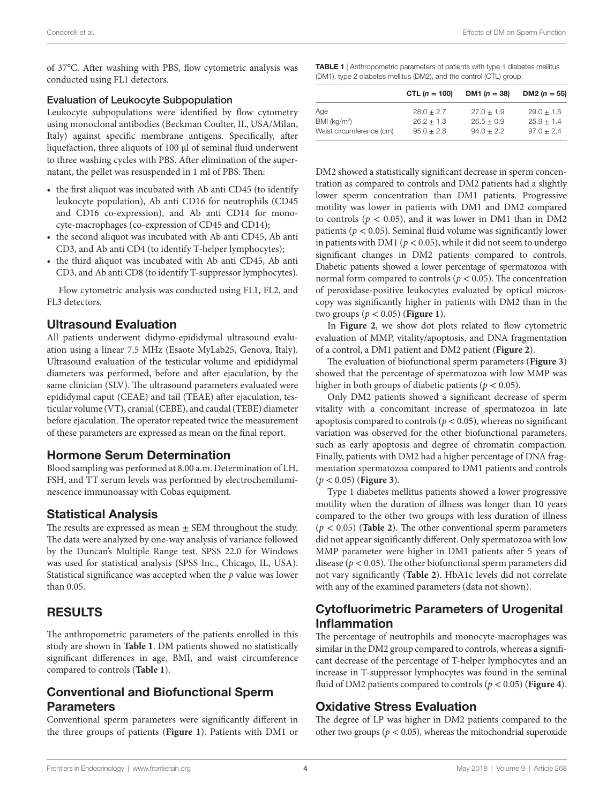of 37°C. After washing with PBS, flow cytometric analysis was conducted using FL1 detectors.

#### Evaluation of Leukocyte Subpopulation

Leukocyte subpopulations were identified by flow cytometry using monoclonal antibodies (Beckman Coulter, IL, USA/Milan, Italy) against specific membrane antigens. Specifically, after liquefaction, three aliquots of 100 µl of seminal fluid underwent to three washing cycles with PBS. After elimination of the supernatant, the pellet was resuspended in 1 ml of PBS. Then:

- the first aliquot was incubated with Ab anti CD45 (to identify leukocyte population), Ab anti CD16 for neutrophils (CD45 and CD16 co-expression), and Ab anti CD14 for monocyte-macrophages (co-expression of CD45 and CD14);
- the second aliquot was incubated with Ab anti CD45, Ab anti CD3, and Ab anti CD4 (to identify T-helper lymphocytes);
- the third aliquot was incubated with Ab anti CD45, Ab anti CD3, and Ab anti CD8 (to identify T-suppressor lymphocytes).

Flow cytometric analysis was conducted using FL1, FL2, and FL3 detectors.

## Ultrasound Evaluation

All patients underwent didymo-epididymal ultrasound evaluation using a linear 7.5 MHz (Esaote MyLab25, Genova, Italy). Ultrasound evaluation of the testicular volume and epididymal diameters was performed, before and after ejaculation, by the same clinician (SLV). The ultrasound parameters evaluated were epididymal caput (CEAE) and tail (TEAE) after ejaculation, testicular volume (VT), cranial (CEBE), and caudal (TEBE) diameter before ejaculation. The operator repeated twice the measurement of these parameters are expressed as mean on the final report.

## Hormone Serum Determination

Blood sampling was performed at 8.00 a.m. Determination of LH, FSH, and TT serum levels was performed by electrochemiluminescence immunoassay with Cobas equipment.

## Statistical Analysis

The results are expressed as mean  $\pm$  SEM throughout the study. The data were analyzed by one-way analysis of variance followed by the Duncan's Multiple Range test. SPSS 22.0 for Windows was used for statistical analysis (SPSS Inc., Chicago, IL, USA). Statistical significance was accepted when the *p* value was lower than 0.05.

## RESULTS

The anthropometric parameters of the patients enrolled in this study are shown in **[Table 1](#page-3-0)**. DM patients showed no statistically significant differences in age, BMI, and waist circumference compared to controls (**[Table 1](#page-3-0)**).

## Conventional and Biofunctional Sperm **Parameters**

Conventional sperm parameters were significantly different in the three groups of patients (**[Figure 1](#page-4-0)**). Patients with DM1 or

<span id="page-3-0"></span>

|                          | CTL $(n = 100)$ | DM1 ( $n = 38$ ) | DM2 ( $n = 55$ ) |
|--------------------------|-----------------|------------------|------------------|
| Age                      | $28.0 + 2.7$    | $27.0 + 1.9$     | $29.0 + 1.5$     |
| BMI (kq/m <sup>2</sup> ) | $26.2 + 1.3$    | $26.5 \pm 0.9$   | $25.9 + 1.4$     |
| Waist circumference (cm) | $95.0 \pm 2.8$  | $94.0 + 2.2$     | $97.0 + 2.4$     |

DM2 showed a statistically significant decrease in sperm concentration as compared to controls and DM2 patients had a slightly lower sperm concentration than DM1 patients. Progressive motility was lower in patients with DM1 and DM2 compared to controls ( $p < 0.05$ ), and it was lower in DM1 than in DM2 patients ( $p < 0.05$ ). Seminal fluid volume was significantly lower in patients with DM1 ( $p < 0.05$ ), while it did not seem to undergo significant changes in DM2 patients compared to controls. Diabetic patients showed a lower percentage of spermatozoa with normal form compared to controls ( $p < 0.05$ ). The concentration of peroxidase-positive leukocytes evaluated by optical microscopy was significantly higher in patients with DM2 than in the two groups (*p* < 0.05) (**[Figure 1](#page-4-0)**).

In **[Figure 2](#page-5-0)**, we show dot plots related to flow cytometric evaluation of MMP, vitality/apoptosis, and DNA fragmentation of a control, a DM1 patient and DM2 patient (**[Figure 2](#page-5-0)**).

The evaluation of biofunctional sperm parameters (**[Figure 3](#page-5-1)**) showed that the percentage of spermatozoa with low MMP was higher in both groups of diabetic patients ( $p < 0.05$ ).

Only DM2 patients showed a significant decrease of sperm vitality with a concomitant increase of spermatozoa in late apoptosis compared to controls ( $p < 0.05$ ), whereas no significant variation was observed for the other biofunctional parameters, such as early apoptosis and degree of chromatin compaction. Finally, patients with DM2 had a higher percentage of DNA fragmentation spermatozoa compared to DM1 patients and controls (*p* < 0.05) (**[Figure 3](#page-5-1)**).

Type 1 diabetes mellitus patients showed a lower progressive motility when the duration of illness was longer than 10 years compared to the other two groups with less duration of illness (*p* < 0.05) (**[Table 2](#page-6-0)**). The other conventional sperm parameters did not appear significantly different. Only spermatozoa with low MMP parameter were higher in DM1 patients after 5 years of disease (*p* < 0.05). The other biofunctional sperm parameters did not vary significantly (**[Table 2](#page-6-0)**). HbA1c levels did not correlate with any of the examined parameters (data not shown).

# Cytofluorimetric Parameters of Urogenital Inflammation

The percentage of neutrophils and monocyte-macrophages was similar in the DM2 group compared to controls, whereas a significant decrease of the percentage of T-helper lymphocytes and an increase in T-suppressor lymphocytes was found in the seminal fluid of DM2 patients compared to controls (*p* < 0.05) (**[Figure 4](#page-6-1)**).

# Oxidative Stress Evaluation

The degree of LP was higher in DM2 patients compared to the other two groups ( $p < 0.05$ ), whereas the mitochondrial superoxide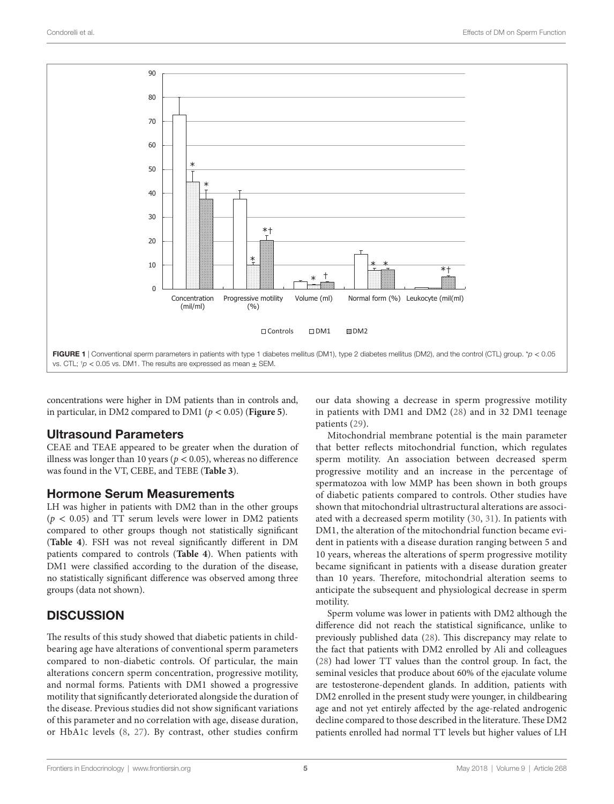

concentrations were higher in DM patients than in controls and, in particular, in DM2 compared to DM1 (*p* < 0.05) (**[Figure 5](#page-7-6)**).

## Ultrasound Parameters

CEAE and TEAE appeared to be greater when the duration of illness was longer than 10 years ( $p < 0.05$ ), whereas no difference was found in the VT, CEBE, and TEBE (**[Table 3](#page-7-7)**).

## Hormone Serum Measurements

LH was higher in patients with DM2 than in the other groups  $(p < 0.05)$  and TT serum levels were lower in DM2 patients compared to other groups though not statistically significant (**[Table 4](#page-7-8)**). FSH was not reveal significantly different in DM patients compared to controls (**[Table 4](#page-7-8)**). When patients with DM1 were classified according to the duration of the disease, no statistically significant difference was observed among three groups (data not shown).

# **DISCUSSION**

The results of this study showed that diabetic patients in childbearing age have alterations of conventional sperm parameters compared to non-diabetic controls. Of particular, the main alterations concern sperm concentration, progressive motility, and normal forms. Patients with DM1 showed a progressive motility that significantly deteriorated alongside the duration of the disease. Previous studies did not show significant variations of this parameter and no correlation with age, disease duration, or HbA1c levels ([8,](#page-8-1) [27\)](#page-8-20). By contrast, other studies confirm <span id="page-4-0"></span>our data showing a decrease in sperm progressive motility in patients with DM1 and DM2 ([28](#page-8-21)) and in 32 DM1 teenage patients ([29](#page-8-22)).

Mitochondrial membrane potential is the main parameter that better reflects mitochondrial function, which regulates sperm motility. An association between decreased sperm progressive motility and an increase in the percentage of spermatozoa with low MMP has been shown in both groups of diabetic patients compared to controls. Other studies have shown that mitochondrial ultrastructural alterations are associated with a decreased sperm motility ([30,](#page-8-23) [31](#page-8-24)). In patients with DM1, the alteration of the mitochondrial function became evident in patients with a disease duration ranging between 5 and 10 years, whereas the alterations of sperm progressive motility became significant in patients with a disease duration greater than 10 years. Therefore, mitochondrial alteration seems to anticipate the subsequent and physiological decrease in sperm motility.

Sperm volume was lower in patients with DM2 although the difference did not reach the statistical significance, unlike to previously published data [\(28](#page-8-21)). This discrepancy may relate to the fact that patients with DM2 enrolled by Ali and colleagues [\(28\)](#page-8-21) had lower TT values than the control group. In fact, the seminal vesicles that produce about 60% of the ejaculate volume are testosterone-dependent glands. In addition, patients with DM2 enrolled in the present study were younger, in childbearing age and not yet entirely affected by the age-related androgenic decline compared to those described in the literature. These DM2 patients enrolled had normal TT levels but higher values of LH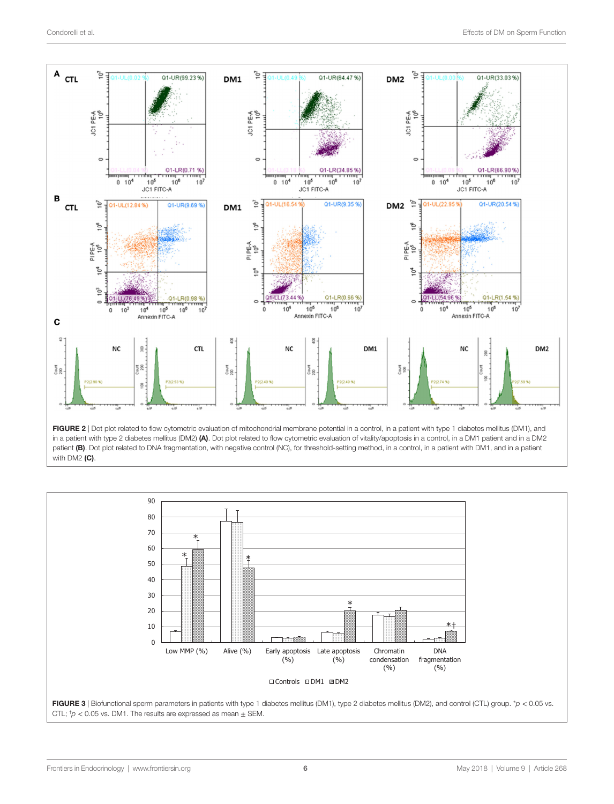

<span id="page-5-0"></span>in a patient with type 2 diabetes mellitus (DM2) (A). Dot plot related to flow cytometric evaluation of vitality/apoptosis in a control, in a DM1 patient and in a DM2 patient (B). Dot plot related to DNA fragmentation, with negative control (NC), for threshold-setting method, in a control, in a patient with DM1, and in a patient with DM2 (C).

<span id="page-5-1"></span>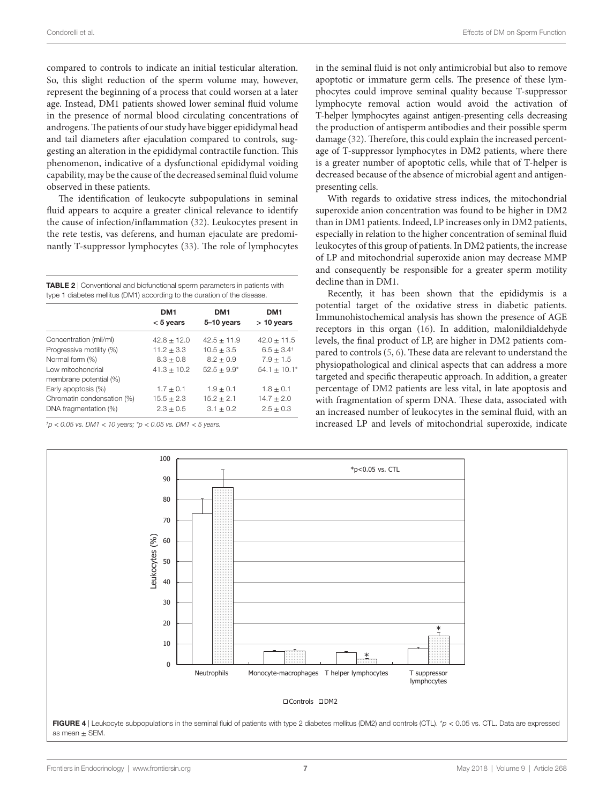compared to controls to indicate an initial testicular alteration. So, this slight reduction of the sperm volume may, however, represent the beginning of a process that could worsen at a later age. Instead, DM1 patients showed lower seminal fluid volume in the presence of normal blood circulating concentrations of androgens. The patients of our study have bigger epididymal head and tail diameters after ejaculation compared to controls, suggesting an alteration in the epididymal contractile function. This phenomenon, indicative of a dysfunctional epididymal voiding capability, may be the cause of the decreased seminal fluid volume observed in these patients.

The identification of leukocyte subpopulations in seminal fluid appears to acquire a greater clinical relevance to identify the cause of infection/inflammation [\(32](#page-8-25)). Leukocytes present in the rete testis, vas deferens, and human ejaculate are predominantly T-suppressor lymphocytes ([33\)](#page-8-26). The role of lymphocytes

<span id="page-6-0"></span>TABLE 2 | Conventional and biofunctional sperm parameters in patients with type 1 diabetes mellitus (DM1) according to the duration of the disease.

| DM <sub>1</sub><br>$< 5$ years | DM <sub>1</sub><br>5-10 years | DM1<br>$> 10$ years         |
|--------------------------------|-------------------------------|-----------------------------|
| $42.8 \pm 12.0$                | $42.5 \pm 11.9$               | $42.0 \pm 11.5$             |
| $11.2 \pm 3.3$                 | $10.5 + 3.5$                  | $6.5 + 3.4^{\dagger}$       |
| $8.3 + 0.8$                    | $8.2 + 0.9$                   | $7.9 + 1.5$                 |
| $41.3 + 10.2$                  | $52.5 + 9.9*$                 | $54.1 + 10.1*$              |
| $1.7 + 0.1$                    | $1.9 + 0.1$                   | $1.8 \pm 0.1$               |
| $15.5 + 2.3$<br>$2.3 + 0.5$    | $15.2 + 2.1$<br>$3.1 + 0.2$   | $14.7 + 2.0$<br>$2.5 + 0.3$ |
|                                |                               |                             |

<span id="page-6-1"></span>*† p* < *0.05 vs. DM1* < *10 years; \*p* < *0.05 vs. DM1* < *5 years.*

in the seminal fluid is not only antimicrobial but also to remove apoptotic or immature germ cells. The presence of these lymphocytes could improve seminal quality because T-suppressor lymphocyte removal action would avoid the activation of T-helper lymphocytes against antigen-presenting cells decreasing the production of antisperm antibodies and their possible sperm damage ([32\)](#page-8-25). Therefore, this could explain the increased percentage of T-suppressor lymphocytes in DM2 patients, where there is a greater number of apoptotic cells, while that of T-helper is decreased because of the absence of microbial agent and antigenpresenting cells.

With regards to oxidative stress indices, the mitochondrial superoxide anion concentration was found to be higher in DM2 than in DM1 patients. Indeed, LP increases only in DM2 patients, especially in relation to the higher concentration of seminal fluid leukocytes of this group of patients. In DM2 patients, the increase of LP and mitochondrial superoxide anion may decrease MMP and consequently be responsible for a greater sperm motility decline than in DM1.

Recently, it has been shown that the epididymis is a potential target of the oxidative stress in diabetic patients. Immunohistochemical analysis has shown the presence of AGE receptors in this organ ([16\)](#page-8-9). In addition, malonildialdehyde levels, the final product of LP, are higher in DM2 patients compared to controls [\(5,](#page-7-4) [6](#page-7-5)). These data are relevant to understand the physiopathological and clinical aspects that can address a more targeted and specific therapeutic approach. In addition, a greater percentage of DM2 patients are less vital, in late apoptosis and with fragmentation of sperm DNA. These data, associated with an increased number of leukocytes in the seminal fluid, with an increased LP and levels of mitochondrial superoxide, indicate

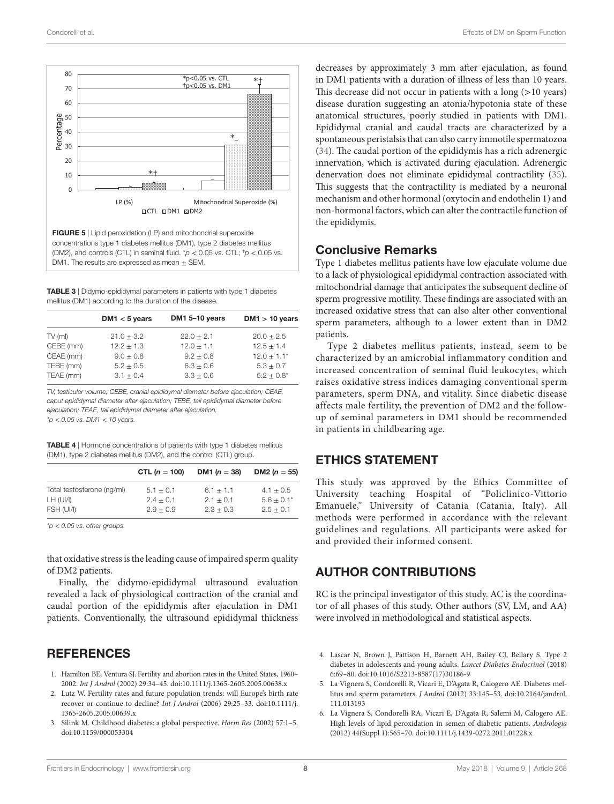![](_page_7_Figure_2.jpeg)

<span id="page-7-6"></span>**FIGURE 5** | Lipid peroxidation (LP) and mitochondrial superoxide concentrations type 1 diabetes mellitus (DM1), type 2 diabetes mellitus (DM2), and controls (CTL) in seminal fluid. \**p* < 0.05 vs. CTL; † *p* < 0.05 vs. DM1. The results are expressed as mean  $\pm$  SEM.

<span id="page-7-7"></span>TABLE 3 | Didymo-epididymal parameters in patients with type 1 diabetes mellitus (DM1) according to the duration of the disease.

|           | DM1 $<$ 5 years | DM1 5-10 years | $DM1 > 10$ years |
|-----------|-----------------|----------------|------------------|
| $TV$ (ml) | $21.0 \pm 3.2$  | $22.0 + 2.1$   | $20.0 \pm 2.5$   |
| CEBE (mm) | $12.2 + 1.3$    | $12.0 + 1.1$   | $12.5 + 1.4$     |
| CEAE (mm) | $9.0 + 0.8$     | $9.2 + 0.8$    | $12.0 + 1.1*$    |
| TEBE (mm) | $5.2 + 0.5$     | $6.3 + 0.6$    | $5.3 + 0.7$      |
| TEAE (mm) | $3.1 \pm 0.4$   | $3.3 + 0.6$    | $5.2 + 0.8^*$    |

*TV, testicular volume; CEBE, cranial epididymal diameter before ejaculation; CEAE, caput epididymal diameter after ejaculation; TEBE, tail epididymal diameter before ejaculation; TEAE, tail epididymal diameter after ejaculation. \*p* < *0.05 vs. DM1* < *10 years.*

<span id="page-7-8"></span>TABLE 4 | Hormone concentrations of patients with type 1 diabetes mellitus (DM1), type 2 diabetes mellitus (DM2), and the control (CTL) group.

|                            | CTL $(n = 100)$ | DM1 $(n = 38)$ | DM2 ( $n = 55$ ) |
|----------------------------|-----------------|----------------|------------------|
| Total testosterone (ng/ml) | $5.1 + 0.1$     | $6.1 + 1.1$    | $4.1 + 0.5$      |
| LH (UI/I)                  | $2.4 + 0.1$     | $2.1 + 0.1$    | $5.6 + 0.1*$     |
| FSH (UI/I)                 | $2.9 + 0.9$     | $2.3 + 0.3$    | $2.5 \pm 0.1$    |

*\*p* < *0.05 vs. other groups.*

that oxidative stress is the leading cause of impaired sperm quality of DM2 patients.

Finally, the didymo-epididymal ultrasound evaluation revealed a lack of physiological contraction of the cranial and caudal portion of the epididymis after ejaculation in DM1 patients. Conventionally, the ultrasound epididymal thickness

## **REFERENCES**

- <span id="page-7-0"></span>1. Hamilton BE, Ventura SJ. Fertility and abortion rates in the United States, 1960– 2002. *Int J Androl* (2002) 29:34–45. doi:[10.1111/j.1365-2605.2005.00638.x](https://doi.org/10.1111/j.1365-2605.2005.00638.x)
- <span id="page-7-1"></span>2. Lutz W. Fertility rates and future population trends: will Europe's birth rate recover or continue to decline? *Int J Androl* (2006) 29:25–33. doi:[10.1111/j.](https://doi.org/10.1111/j.
1365-2605.2005.00639.x) [1365-2605.2005.00639.x](https://doi.org/10.1111/j.
1365-2605.2005.00639.x)
- <span id="page-7-2"></span>3. Silink M. Childhood diabetes: a global perspective. *Horm Res* (2002) 57:1–5. doi:[10.1159/000053304](https://doi.org/10.1159/000053304)

decreases by approximately 3 mm after ejaculation, as found in DM1 patients with a duration of illness of less than 10 years. This decrease did not occur in patients with a long (>10 years) disease duration suggesting an atonia/hypotonia state of these anatomical structures, poorly studied in patients with DM1. Epididymal cranial and caudal tracts are characterized by a spontaneous peristalsis that can also carry immotile spermatozoa [\(34\)](#page-8-27). The caudal portion of the epididymis has a rich adrenergic innervation, which is activated during ejaculation. Adrenergic denervation does not eliminate epididymal contractility [\(35](#page-8-28)). This suggests that the contractility is mediated by a neuronal mechanism and other hormonal (oxytocin and endothelin 1) and non-hormonal factors, which can alter the contractile function of the epididymis.

## Conclusive Remarks

Type 1 diabetes mellitus patients have low ejaculate volume due to a lack of physiological epididymal contraction associated with mitochondrial damage that anticipates the subsequent decline of sperm progressive motility. These findings are associated with an increased oxidative stress that can also alter other conventional sperm parameters, although to a lower extent than in DM2 patients.

Type 2 diabetes mellitus patients, instead, seem to be characterized by an amicrobial inflammatory condition and increased concentration of seminal fluid leukocytes, which raises oxidative stress indices damaging conventional sperm parameters, sperm DNA, and vitality. Since diabetic disease affects male fertility, the prevention of DM2 and the followup of seminal parameters in DM1 should be recommended in patients in childbearing age.

## ETHICS STATEMENT

This study was approved by the Ethics Committee of University teaching Hospital of "Policlinico-Vittorio Emanuele," University of Catania (Catania, Italy). All methods were performed in accordance with the relevant guidelines and regulations. All participants were asked for and provided their informed consent.

## AUTHOR CONTRIBUTIONS

RC is the principal investigator of this study. AC is the coordinator of all phases of this study. Other authors (SV, LM, and AA) were involved in methodological and statistical aspects.

- <span id="page-7-3"></span>4. Lascar N, Brown J, Pattison H, Barnett AH, Bailey CJ, Bellary S. Type 2 diabetes in adolescents and young adults. *Lancet Diabetes Endocrinol* (2018) 6:69–80. doi:[10.1016/S2213-8587\(17\)30186-9](https://doi.org/10.1016/S2213-8587(17)30186-9)
- <span id="page-7-4"></span>5. La Vignera S, Condorelli R, Vicari E, D'Agata R, Calogero AE. Diabetes mellitus and sperm parameters. *J Androl* (2012) 33:145–53. doi:[10.2164/jandrol.](https://doi.org/10.2164/jandrol.
111.013193) [111.013193](https://doi.org/10.2164/jandrol.
111.013193)
- <span id="page-7-5"></span>6. La Vignera S, Condorelli RA, Vicari E, D'Agata R, Salemi M, Calogero AE. High levels of lipid peroxidation in semen of diabetic patients. *Andrologia* (2012) 44(Suppl 1):565–70. doi:[10.1111/j.1439-0272.2011.01228.x](https://doi.org/10.1111/j.1439-0272.2011.01228.x)